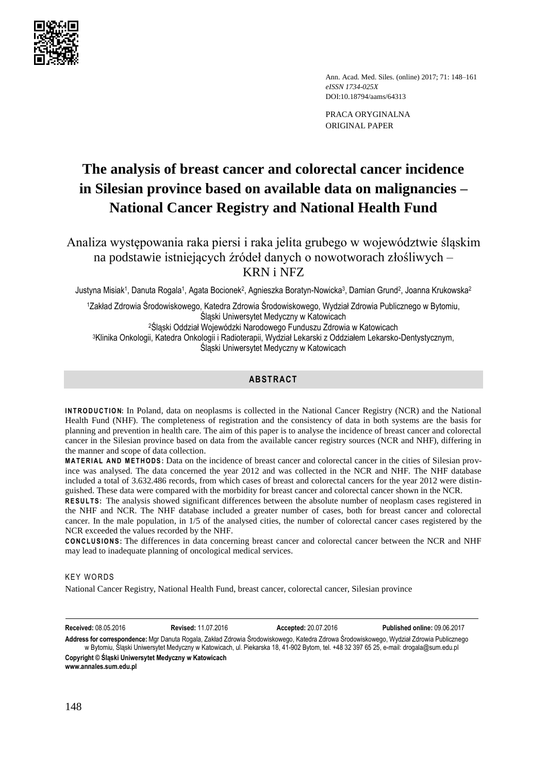

Ann. Acad. Med. Siles. (online) 2017; 71: 148–161 *eISSN 1734-025X*  DOI:10.18794/aams/64313

PRACA ORYGINALNA ORIGINAL PAPER

# **The analysis of breast cancer and colorectal cancer incidence in Silesian province based on available data on malignancies – National Cancer Registry and National Health Fund**

Analiza występowania raka piersi i raka jelita grubego w województwie śląskim na podstawie istniejących źródeł danych o nowotworach złośliwych – KRN i NFZ

Justyna Misiak1, Danuta Rogala1, Agata Bocionek<sup>2</sup>, Agnieszka Boratyn-Nowicka<sup>3</sup>, Damian Grund<sup>2</sup>, Joanna Krukowska<sup>2</sup>

<sup>1</sup>Zakład Zdrowia Środowiskowego, Katedra Zdrowia Środowiskowego, Wydział Zdrowia Publicznego w Bytomiu, Śląski Uniwersytet Medyczny w Katowicach <sup>2</sup>Śląski Oddział Wojewódzki Narodowego Funduszu Zdrowia w Katowicach

<sup>3</sup>Klinika Onkologii, Katedra Onkologii i Radioterapii, Wydział Lekarski z Oddziałem Lekarsko-Dentystycznym, Śląski Uniwersytet Medyczny w Katowicach

## **ABSTRACT**

**INTRODUCTION:** In Poland, data on neoplasms is collected in the National Cancer Registry (NCR) and the National Health Fund (NHF). The completeness of registration and the consistency of data in both systems are the basis for planning and prevention in health care. The aim of this paper is to analyse the incidence of breast cancer and colorectal cancer in the Silesian province based on data from the available cancer registry sources (NCR and NHF), differing in the manner and scope of data collection.

**MATERIAL AND METHODS:** Data on the incidence of breast cancer and colorectal cancer in the cities of Silesian province was analysed. The data concerned the year 2012 and was collected in the NCR and NHF. The NHF database included a total of 3.632.486 records, from which cases of breast and colorectal cancers for the year 2012 were distinguished. These data were compared with the morbidity for breast cancer and colorectal cancer shown in the NCR.

RESULTS: The analysis showed significant differences between the absolute number of neoplasm cases registered in the NHF and NCR. The NHF database included a greater number of cases, both for breast cancer and colorectal cancer. In the male population, in 1/5 of the analysed cities, the number of colorectal cancer cases registered by the NCR exceeded the values recorded by the NHF.

**CONCLUSIONS:** The differences in data concerning breast cancer and colorectal cancer between the NCR and NHF may lead to inadequate planning of oncological medical services.

# **KEY WORDS**

National Cancer Registry, National Health Fund, breast cancer, colorectal cancer, Silesian province

**Received:** 08.05.2016 **Revised:** 11.07.2016 **Accepted:** 20.07.2016 **Published online:** 09.06.2017 **Address for correspondence:** Mgr Danuta Rogala, Zakład Zdrowia Środowiskowego, Katedra Zdrowa Środowiskowego, Wydział Zdrowia Publicznego

w Bytomiu, Śląski Uniwersytet Medyczny w Katowicach, ul. Piekarska 18, 41-902 Bytom, tel. +48 32 397 65 25, e-mail: [drogala@sum.edu.pl](mailto:drogala@sum.edu.pl?Subject=AAMS-00177-2016-01) **Copyright © Śląski Uniwersytet Medyczny w Katowicach www.annales.sum.edu.pl**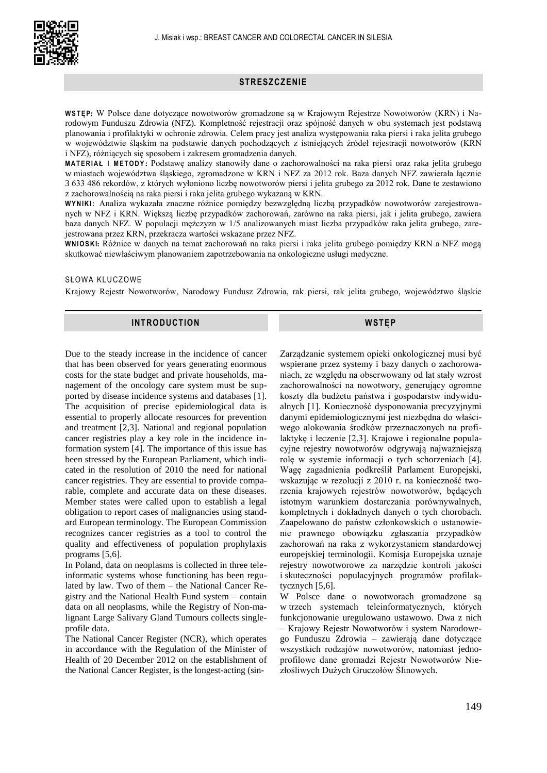

## **STRESZCZENIE**

**W S T ĘP:** W Polsce dane dotyczące nowotworów gromadzone są w Krajowym Rejestrze Nowotworów (KRN) i Narodowym Funduszu Zdrowia (NFZ). Kompletność rejestracji oraz spójność danych w obu systemach jest podstawą planowania i profilaktyki w ochronie zdrowia. Celem pracy jest analiza występowania raka piersi i raka jelita grubego w województwie śląskim na podstawie danych pochodzących z istniejących źródeł rejestracji nowotworów (KRN i NFZ), różniących się sposobem i zakresem gromadzenia danych.

**M A T E R I A Ł I M E T O D Y :** Podstawę analizy stanowiły dane o zachorowalności na raka piersi oraz raka jelita grubego w miastach województwa śląskiego, zgromadzone w KRN i NFZ za 2012 rok. Baza danych NFZ zawierała łącznie 3 633 486 rekordów, z których wyłoniono liczbę nowotworów piersi i jelita grubego za 2012 rok. Dane te zestawiono z zachorowalnością na raka piersi i raka jelita grubego wykazaną w KRN.

**W Y N I K I :** Analiza wykazała znaczne różnice pomiędzy bezwzględną liczbą przypadków nowotworów zarejestrowanych w NFZ i KRN. Większą liczbę przypadków zachorowań, zarówno na raka piersi, jak i jelita grubego, zawiera baza danych NFZ. W populacji mężczyzn w 1/5 analizowanych miast liczba przypadków raka jelita grubego, zarejestrowana przez KRN, przekracza wartości wskazane przez NFZ.

**W N I O S K I:** Różnice w danych na temat zachorowań na raka piersi i raka jelita grubego pomiędzy KRN a NFZ mogą skutkować niewłaściwym planowaniem zapotrzebowania na onkologiczne usługi medyczne.

#### SŁOWA KLUCZOWE

Krajowy Rejestr Nowotworów, Narodowy Fundusz Zdrowia, rak piersi, rak jelita grubego, województwo śląskie

## **INTRODUCTION**

**WSTĘP**

Due to the steady increase in the incidence of cancer that has been observed for years generating enormous costs for the state budget and private households, management of the oncology care system must be supported by disease incidence systems and databases [1]. The acquisition of precise epidemiological data is essential to properly allocate resources for prevention and treatment [2,3]. National and regional population cancer registries play a key role in the incidence information system [4]. The importance of this issue has been stressed by the European Parliament, which indicated in the resolution of 2010 the need for national cancer registries. They are essential to provide comparable, complete and accurate data on these diseases. Member states were called upon to establish a legal obligation to report cases of malignancies using standard European terminology. The European Commission recognizes cancer registries as a tool to control the quality and effectiveness of population prophylaxis programs [5,6].

In Poland, data on neoplasms is collected in three teleinformatic systems whose functioning has been regulated by law. Two of them – the National Cancer Registry and the National Health Fund system – contain data on all neoplasms, while the Registry of Non-malignant Large Salivary Gland Tumours collects singleprofile data.

The National Cancer Register (NCR), which operates in accordance with the Regulation of the Minister of Health of 20 December 2012 on the establishment of the National Cancer Register, is the longest-acting (sin-

Zarządzanie systemem opieki onkologicznej musi być wspierane przez systemy i bazy danych o zachorowaniach, ze względu na obserwowany od lat stały wzrost zachorowalności na nowotwory, generujący ogromne koszty dla budżetu państwa i gospodarstw indywidualnych [1]. Konieczność dysponowania precyzyjnymi danymi epidemiologicznymi jest niezbędna do właściwego alokowania środków przeznaczonych na profilaktykę i leczenie [2,3]. Krajowe i regionalne populacyjne rejestry nowotworów odgrywają najważniejszą rolę w systemie informacji o tych schorzeniach [4]. Wagę zagadnienia podkreślił Parlament Europejski, wskazując w rezolucji z 2010 r. na konieczność tworzenia krajowych rejestrów nowotworów, będących istotnym warunkiem dostarczania porównywalnych, kompletnych i dokładnych danych o tych chorobach. Zaapelowano do państw członkowskich o ustanowienie prawnego obowiązku zgłaszania przypadków zachorowań na raka z wykorzystaniem standardowej europejskiej terminologii. Komisja Europejska uznaje rejestry nowotworowe za narzędzie kontroli jakości i skuteczności populacyjnych programów profilaktycznych [5,6].

W Polsce dane o nowotworach gromadzone są w trzech systemach teleinformatycznych, których funkcjonowanie uregulowano ustawowo. Dwa z nich – Krajowy Rejestr Nowotworów i system Narodowego Funduszu Zdrowia – zawierają dane dotyczące wszystkich rodzajów nowotworów, natomiast jednoprofilowe dane gromadzi Rejestr Nowotworów Niezłośliwych Dużych Gruczołów Ślinowych.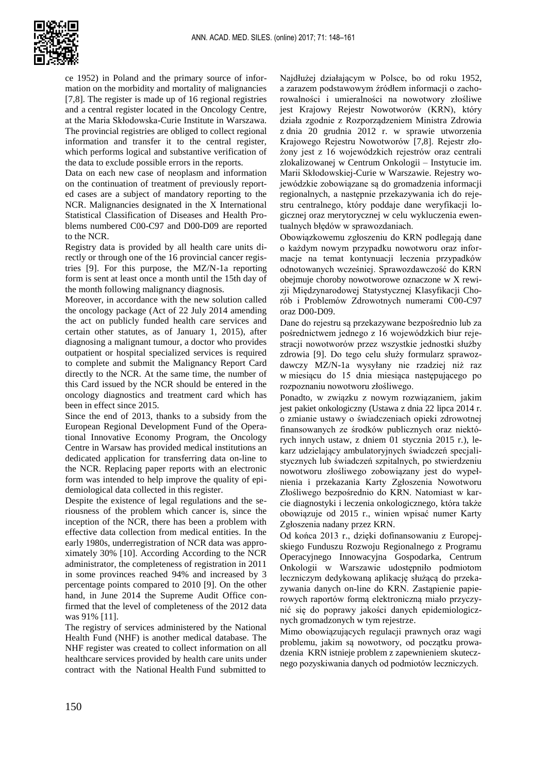

ce 1952) in Poland and the primary source of information on the morbidity and mortality of malignancies [7,8]. The register is made up of 16 regional registries and a central register located in the Oncology Centre, at the Maria Skłodowska-Curie Institute in Warszawa. The provincial registries are obliged to collect regional information and transfer it to the central register, which performs logical and substantive verification of the data to exclude possible errors in the reports.

Data on each new case of neoplasm and information on the continuation of treatment of previously reported cases are a subject of mandatory reporting to the NCR. Malignancies designated in the X International Statistical Classification of Diseases and Health Problems numbered C00-C97 and D00-D09 are reported to the NCR.

Registry data is provided by all health care units directly or through one of the 16 provincial cancer registries [9]. For this purpose, the MZ/N-1a reporting form is sent at least once a month until the 15th day of the month following malignancy diagnosis.

Moreover, in accordance with the new solution called the oncology package (Act of 22 July 2014 amending the act on publicly funded health care services and certain other statutes, as of January 1, 2015), after diagnosing a malignant tumour, a doctor who provides outpatient or hospital specialized services is required to complete and submit the Malignancy Report Card directly to the NCR. At the same time, the number of this Card issued by the NCR should be entered in the oncology diagnostics and treatment card which has been in effect since 2015.

Since the end of 2013, thanks to a subsidy from the European Regional Development Fund of the Operational Innovative Economy Program, the Oncology Centre in Warsaw has provided medical institutions an dedicated application for transferring data on-line to the NCR. Replacing paper reports with an electronic form was intended to help improve the quality of epidemiological data collected in this register.

Despite the existence of legal regulations and the seriousness of the problem which cancer is, since the inception of the NCR, there has been a problem with effective data collection from medical entities. In the early 1980s, underregistration of NCR data was approximately 30% [10]. According According to the NCR administrator, the completeness of registration in 2011 in some provinces reached 94% and increased by 3 percentage points compared to 2010 [9]. On the other hand, in June 2014 the Supreme Audit Office confirmed that the level of completeness of the 2012 data was 91% [11].

The registry of services administered by the National Health Fund (NHF) is another medical database. The NHF register was created to collect information on all healthcare services provided by health care units under contract with the National Health Fund submitted to Najdłużej działającym w Polsce, bo od roku 1952, a zarazem podstawowym źródłem informacji o zachorowalności i umieralności na nowotwory złośliwe jest Krajowy Rejestr Nowotworów (KRN), który działa zgodnie z Rozporządzeniem Ministra Zdrowia z dnia 20 grudnia 2012 r. w sprawie utworzenia Krajowego Rejestru Nowotworów [7,8]. Rejestr złożony jest z 16 wojewódzkich rejestrów oraz centrali zlokalizowanej w Centrum Onkologii – Instytucie im. Marii Skłodowskiej-Curie w Warszawie. Rejestry wojewódzkie zobowiązane są do gromadzenia informacji regionalnych, a następnie przekazywania ich do rejestru centralnego, który poddaje dane weryfikacji logicznej oraz merytorycznej w celu wykluczenia ewentualnych błędów w sprawozdaniach.

Obowiązkowemu zgłoszeniu do KRN podlegają dane o każdym nowym przypadku nowotworu oraz informacje na temat kontynuacji leczenia przypadków odnotowanych wcześniej. Sprawozdawczość do KRN obejmuje choroby nowotworowe oznaczone w X rewizji Międzynarodowej Statystycznej Klasyfikacji Chorób i Problemów Zdrowotnych numerami C00-C97 oraz D00-D09.

Dane do rejestru są przekazywane bezpośrednio lub za pośrednictwem jednego z 16 wojewódzkich biur rejestracji nowotworów przez wszystkie jednostki służby zdrowia [9]. Do tego celu służy formularz sprawozdawczy MZ/N-1a wysyłany nie rzadziej niż raz w miesiącu do 15 dnia miesiąca następującego po rozpoznaniu nowotworu złośliwego.

Ponadto, w związku z nowym rozwiązaniem, jakim jest pakiet onkologiczny (Ustawa z dnia 22 lipca 2014 r. o zmianie ustawy o świadczeniach opieki zdrowotnej finansowanych ze środków publicznych oraz niektórych innych ustaw, z dniem 01 stycznia 2015 r.), lekarz udzielający ambulatoryjnych świadczeń specjalistycznych lub świadczeń szpitalnych, po stwierdzeniu nowotworu złośliwego zobowiązany jest do wypełnienia i przekazania Karty Zgłoszenia Nowotworu Złośliwego bezpośrednio do KRN. Natomiast w karcie diagnostyki i leczenia onkologicznego, która także obowiązuje od 2015 r., winien wpisać numer Karty Zgłoszenia nadany przez KRN.

Od końca 2013 r., dzięki dofinansowaniu z Europejskiego Funduszu Rozwoju Regionalnego z Programu Operacyjnego Innowacyjna Gospodarka, Centrum Onkologii w Warszawie udostępniło podmiotom leczniczym dedykowaną aplikację służącą do przekazywania danych on-line do KRN. Zastąpienie papierowych raportów formą elektroniczną miało przyczynić się do poprawy jakości danych epidemiologicznych gromadzonych w tym rejestrze.

Mimo obowiązujących regulacji prawnych oraz wagi problemu, jakim są nowotwory, od początku prowadzenia KRN istnieje problem z zapewnieniem skutecznego pozyskiwania danych od podmiotów leczniczych.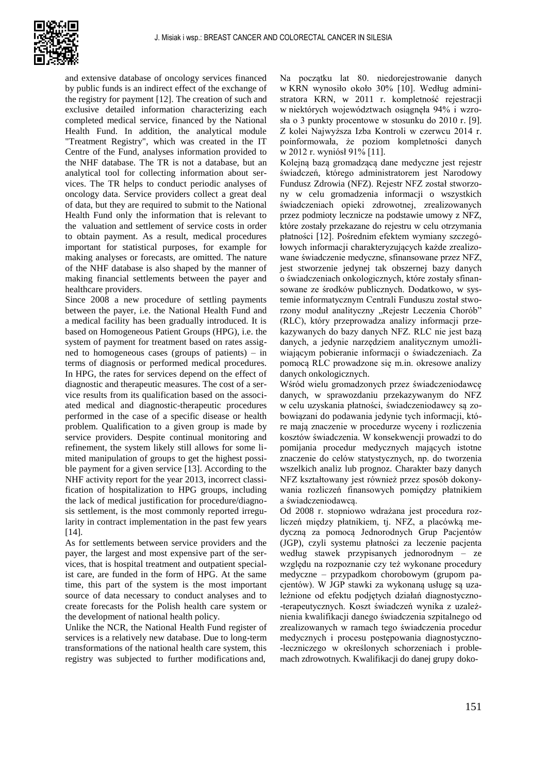

and extensive database of oncology services financed by public funds is an indirect effect of the exchange of the registry for payment [12]. The creation of such and exclusive detailed information characterizing each completed medical service, financed by the National Health Fund. In addition, the analytical module "Treatment Registry", which was created in the IT Centre of the Fund, analyses information provided to the NHF database. The TR is not a database, but an analytical tool for collecting information about services. The TR helps to conduct periodic analyses of oncology data. Service providers collect a great deal of data, but they are required to submit to the National Health Fund only the information that is relevant to the valuation and settlement of service costs in order to obtain payment. As a result, medical procedures important for statistical purposes, for example for making analyses or forecasts, are omitted. The nature of the NHF database is also shaped by the manner of making financial settlements between the payer and healthcare providers.

Since 2008 a new procedure of settling payments between the payer, i.e. the National Health Fund and a medical facility has been gradually introduced. It is based on Homogeneous Patient Groups (HPG), i.e. the system of payment for treatment based on rates assigned to homogeneous cases (groups of patients) – in terms of diagnosis or performed medical procedures. In HPG, the rates for services depend on the effect of diagnostic and therapeutic measures. The cost of a service results from its qualification based on the associated medical and diagnostic-therapeutic procedures performed in the case of a specific disease or health problem. Qualification to a given group is made by service providers. Despite continual monitoring and refinement, the system likely still allows for some limited manipulation of groups to get the highest possible payment for a given service [13]. According to the NHF activity report for the year 2013, incorrect classification of hospitalization to HPG groups, including the lack of medical justification for procedure/diagnosis settlement, is the most commonly reported irregularity in contract implementation in the past few years [14].

As for settlements between service providers and the payer, the largest and most expensive part of the services, that is hospital treatment and outpatient specialist care, are funded in the form of HPG. At the same time, this part of the system is the most important source of data necessary to conduct analyses and to create forecasts for the Polish health care system or the development of national health policy.

Unlike the NCR, the National Health Fund register of services is a relatively new database. Due to long-term transformations of the national health care system, this registry was subjected to further modifications and,

Na początku lat 80. niedorejestrowanie danych w KRN wynosiło około 30% [10]. Według administratora KRN, w 2011 r. kompletność rejestracji w niektórych województwach osiągnęła 94% i wzrosła o 3 punkty procentowe w stosunku do 2010 r. [9]. Z kolei Najwyższa Izba Kontroli w czerwcu 2014 r. poinformowała, że poziom kompletności danych w 2012 r. wyniósł 91% [11].

Kolejną bazą gromadzącą dane medyczne jest rejestr świadczeń, którego administratorem jest Narodowy Fundusz Zdrowia (NFZ). Rejestr NFZ został stworzony w celu gromadzenia informacji o wszystkich świadczeniach opieki zdrowotnej, zrealizowanych przez podmioty lecznicze na podstawie umowy z NFZ, które zostały przekazane do rejestru w celu otrzymania płatności [12]. Pośrednim efektem wymiany szczegółowych informacji charakteryzujących każde zrealizowane świadczenie medyczne, sfinansowane przez NFZ, jest stworzenie jedynej tak obszernej bazy danych o świadczeniach onkologicznych, które zostały sfinansowane ze środków publicznych. Dodatkowo, w systemie informatycznym Centrali Funduszu został stworzony moduł analityczny "Rejestr Leczenia Chorób" (RLC), który przeprowadza analizy informacji przekazywanych do bazy danych NFZ. RLC nie jest bazą danych, a jedynie narzędziem analitycznym umożliwiającym pobieranie informacji o świadczeniach. Za pomocą RLC prowadzone się m.in. okresowe analizy danych onkologicznych.

Wśród wielu gromadzonych przez świadczeniodawcę danych, w sprawozdaniu przekazywanym do NFZ w celu uzyskania płatności, świadczeniodawcy są zobowiązani do podawania jedynie tych informacji, które mają znaczenie w procedurze wyceny i rozliczenia kosztów świadczenia. W konsekwencji prowadzi to do pomijania procedur medycznych mających istotne znaczenie do celów statystycznych, np. do tworzenia wszelkich analiz lub prognoz. Charakter bazy danych NFZ kształtowany jest również przez sposób dokonywania rozliczeń finansowych pomiędzy płatnikiem a świadczeniodawcą.

Od 2008 r. stopniowo wdrażana jest procedura rozliczeń między płatnikiem, tj. NFZ, a placówką medyczną za pomocą Jednorodnych Grup Pacjentów (JGP), czyli systemu płatności za leczenie pacjenta według stawek przypisanych jednorodnym – ze względu na rozpoznanie czy też wykonane procedury medyczne – przypadkom chorobowym (grupom pacjentów). W JGP stawki za wykonaną usługę są uzależnione od efektu podjętych działań diagnostyczno- -terapeutycznych. Koszt świadczeń wynika z uzależnienia kwalifikacji danego świadczenia szpitalnego od zrealizowanych w ramach tego świadczenia procedur medycznych i procesu postępowania diagnostyczno- -leczniczego w określonych schorzeniach i problemach zdrowotnych. Kwalifikacji do danej grupy doko-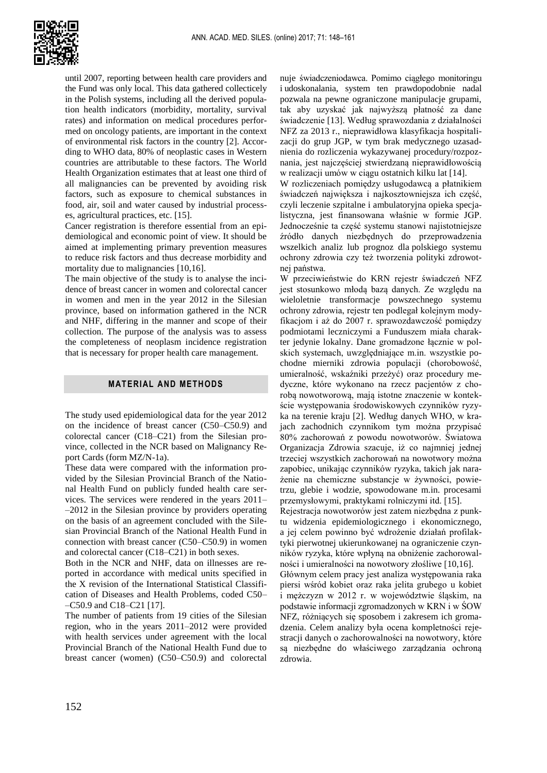

until 2007, reporting between health care providers and the Fund was only local. This data gathered collecticely in the Polish systems, including all the derived population health indicators (morbidity, mortality, survival rates) and information on medical procedures performed on oncology patients, are important in the context of environmental risk factors in the country [2]. According to WHO data, 80% of neoplastic cases in Western countries are attributable to these factors. The World Health Organization estimates that at least one third of all malignancies can be prevented by avoiding risk factors, such as exposure to chemical substances in food, air, soil and water caused by industrial processes, agricultural practices, etc. [15].

Cancer registration is therefore essential from an epidemiological and economic point of view. It should be aimed at implementing primary prevention measures to reduce risk factors and thus decrease morbidity and mortality due to malignancies [10,16].

The main objective of the study is to analyse the incidence of breast cancer in women and colorectal cancer in women and men in the year 2012 in the Silesian province, based on information gathered in the NCR and NHF, differing in the manner and scope of their collection. The purpose of the analysis was to assess the completeness of neoplasm incidence registration that is necessary for proper health care management.

#### **MATERIAL AND METHODS**

The study used epidemiological data for the year 2012 on the incidence of breast cancer (C50–C50.9) and colorectal cancer (C18–C21) from the Silesian province, collected in the NCR based on Malignancy Report Cards (form MZ/N-1a).

These data were compared with the information provided by the Silesian Provincial Branch of the National Health Fund on publicly funded health care services. The services were rendered in the years 2011– –2012 in the Silesian province by providers operating on the basis of an agreement concluded with the Silesian Provincial Branch of the National Health Fund in connection with breast cancer (C50–C50.9) in women and colorectal cancer (C18–C21) in both sexes.

Both in the NCR and NHF, data on illnesses are reported in accordance with medical units specified in the X revision of the International Statistical Classification of Diseases and Health Problems, coded C50– –C50.9 and C18–C21 [17].

The number of patients from 19 cities of the Silesian region, who in the years 2011–2012 were provided with health services under agreement with the local Provincial Branch of the National Health Fund due to breast cancer (women) (C50–C50.9) and colorectal

nuje świadczeniodawca. Pomimo ciągłego monitoringu i udoskonalania, system ten prawdopodobnie nadal pozwala na pewne ograniczone manipulacje grupami, tak aby uzyskać jak najwyższą płatność za dane świadczenie [13]. Według sprawozdania z działalności NFZ za 2013 r., nieprawidłowa klasyfikacja hospitalizacji do grup JGP, w tym brak medycznego uzasadnienia do rozliczenia wykazywanej procedury/rozpoznania, jest najczęściej stwierdzaną nieprawidłowością w realizacji umów w ciągu ostatnich kilku lat [14].

W rozliczeniach pomiędzy usługodawcą a płatnikiem świadczeń największa i najkosztowniejsza ich część, czyli leczenie szpitalne i ambulatoryjna opieka specjalistyczna, jest finansowana właśnie w formie JGP. Jednocześnie ta część systemu stanowi najistotniejsze źródło danych niezbędnych do przeprowadzenia wszelkich analiz lub prognoz dla polskiego systemu ochrony zdrowia czy też tworzenia polityki zdrowotnej państwa.

W przeciwieństwie do KRN rejestr świadczeń NFZ jest stosunkowo młodą bazą danych. Ze względu na wieloletnie transformacje powszechnego systemu ochrony zdrowia, rejestr ten podlegał kolejnym modyfikacjom i aż do 2007 r. sprawozdawczość pomiędzy podmiotami leczniczymi a Funduszem miała charakter jedynie lokalny. Dane gromadzone łącznie w polskich systemach, uwzględniające m.in. wszystkie pochodne mierniki zdrowia populacji (chorobowość, umieralność, wskaźniki przeżyć) oraz procedury medyczne, które wykonano na rzecz pacjentów z chorobą nowotworową, mają istotne znaczenie w kontekście występowania środowiskowych czynników ryzyka na terenie kraju [2]. Według danych WHO, w krajach zachodnich czynnikom tym można przypisać 80% zachorowań z powodu nowotworów. Światowa Organizacja Zdrowia szacuje, iż co najmniej jednej trzeciej wszystkich zachorowań na nowotwory można zapobiec, unikając czynników ryzyka, takich jak narażenie na chemiczne substancje w żywności, powietrzu, glebie i wodzie, spowodowane m.in. procesami przemysłowymi, praktykami rolniczymi itd. [15].

Rejestracja nowotworów jest zatem niezbędna z punktu widzenia epidemiologicznego i ekonomicznego, a jej celem powinno być wdrożenie działań profilaktyki pierwotnej ukierunkowanej na ograniczenie czynników ryzyka, które wpłyną na obniżenie zachorowalności i umieralności na nowotwory złośliwe [10,16].

Głównym celem pracy jest analiza występowania raka piersi wśród kobiet oraz raka jelita grubego u kobiet i mężczyzn w 2012 r. w województwie śląskim, na podstawie informacji zgromadzonych w KRN i w ŚOW NFZ, różniących się sposobem i zakresem ich gromadzenia. Celem analizy była ocena kompletności rejestracji danych o zachorowalności na nowotwory, które są niezbędne do właściwego zarządzania ochroną zdrowia.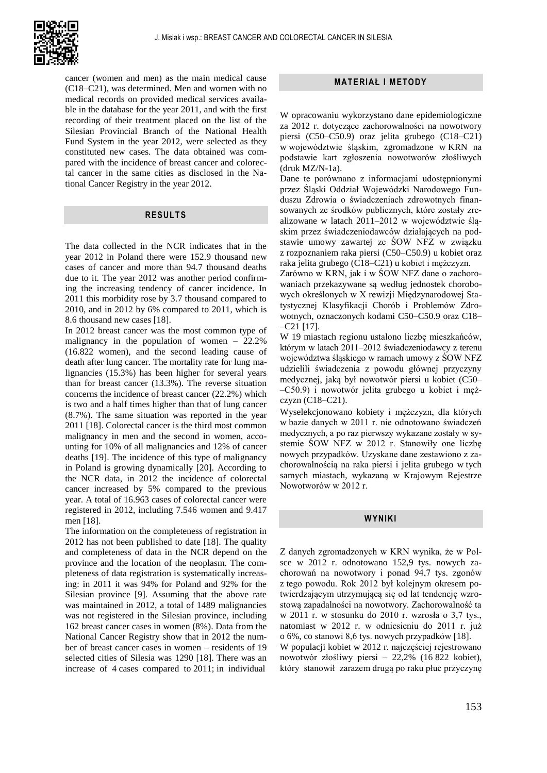

cancer (women and men) as the main medical cause (C18–C21), was determined. Men and women with no medical records on provided medical services available in the database for the year 2011, and with the first recording of their treatment placed on the list of the Silesian Provincial Branch of the National Health Fund System in the year 2012, were selected as they constituted new cases. The data obtained was compared with the incidence of breast cancer and colorectal cancer in the same cities as disclosed in the National Cancer Registry in the year 2012.

#### **RESULTS**

The data collected in the NCR indicates that in the year 2012 in Poland there were 152.9 thousand new cases of cancer and more than 94.7 thousand deaths due to it. The year 2012 was another period confirming the increasing tendency of cancer incidence. In 2011 this morbidity rose by 3.7 thousand compared to 2010, and in 2012 by 6% compared to 2011, which is 8.6 thousand new cases [18].

In 2012 breast cancer was the most common type of malignancy in the population of women – 22.2% (16.822 women), and the second leading cause of death after lung cancer. The mortality rate for lung malignancies (15.3%) has been higher for several years than for breast cancer (13.3%). The reverse situation concerns the incidence of breast cancer (22.2%) which is two and a half times higher than that of lung cancer (8.7%). The same situation was reported in the year 2011 [18]. Colorectal cancer is the third most common malignancy in men and the second in women, accounting for 10% of all malignancies and 12% of cancer deaths [19]. The incidence of this type of malignancy in Poland is growing dynamically [20]. According to the NCR data, in 2012 the incidence of colorectal cancer increased by 5% compared to the previous year. A total of 16.963 cases of colorectal cancer were registered in 2012, including 7.546 women and 9.417 men [18].

The information on the completeness of registration in 2012 has not been published to date [18]. The quality and completeness of data in the NCR depend on the province and the location of the neoplasm. The completeness of data registration is systematically increasing: in 2011 it was 94% for Poland and 92% for the Silesian province [9]. Assuming that the above rate was maintained in 2012, a total of 1489 malignancies was not registered in the Silesian province, including 162 breast cancer cases in women (8%). Data from the National Cancer Registry show that in 2012 the number of breast cancer cases in women – residents of 19 selected cities of Silesia was 1290 [18]. There was an increase of 4 cases compared to 2011; in individual

### **MATERIAŁ I METODY**

W opracowaniu wykorzystano dane epidemiologiczne za 2012 r. dotyczące zachorowalności na nowotwory piersi (C50–C50.9) oraz jelita grubego (C18–C21) w województwie śląskim, zgromadzone w KRN na podstawie kart zgłoszenia nowotworów złośliwych (druk MZ/N-1a).

Dane te porównano z informacjami udostępnionymi przez Śląski Oddział Wojewódzki Narodowego Funduszu Zdrowia o świadczeniach zdrowotnych finansowanych ze środków publicznych, które zostały zrealizowane w latach 2011–2012 w województwie śląskim przez świadczeniodawców działających na podstawie umowy zawartej ze ŚOW NFZ w związku z rozpoznaniem raka piersi (C50–C50.9) u kobiet oraz raka jelita grubego (C18–C21) u kobiet i mężczyzn.

Zarówno w KRN, jak i w ŚOW NFZ dane o zachorowaniach przekazywane są według jednostek chorobowych określonych w X rewizji Międzynarodowej Statystycznej Klasyfikacji Chorób i Problemów Zdrowotnych, oznaczonych kodami C50–C50.9 oraz C18–  $-$ C<sub>21</sub> [17].

W 19 miastach regionu ustalono liczbę mieszkańców, którym w latach 2011–2012 świadczeniodawcy z terenu województwa śląskiego w ramach umowy z ŚOW NFZ udzielili świadczenia z powodu głównej przyczyny medycznej, jaką był nowotwór piersi u kobiet (C50– –C50.9) i nowotwór jelita grubego u kobiet i mężczyzn $(C18-C21)$ .

Wyselekcjonowano kobiety i mężczyzn, dla których w bazie danych w 2011 r. nie odnotowano świadczeń medycznych, a po raz pierwszy wykazane zostały w systemie ŚOW NFZ w 2012 r. Stanowiły one liczbę nowych przypadków. Uzyskane dane zestawiono z zachorowalnością na raka piersi i jelita grubego w tych samych miastach, wykazaną w Krajowym Rejestrze Nowotworów w 2012 r.

## **WYNIKI**

Z danych zgromadzonych w KRN wynika, że w Polsce w 2012 r. odnotowano 152,9 tys. nowych zachorowań na nowotwory i ponad 94,7 tys. zgonów z tego powodu. Rok 2012 był kolejnym okresem potwierdzającym utrzymującą się od lat tendencję wzrostową zapadalności na nowotwory. Zachorowalność ta w 2011 r. w stosunku do 2010 r. wzrosła o 3,7 tys., natomiast w 2012 r. w odniesieniu do 2011 r. już o 6%, co stanowi 8,6 tys. nowych przypadków [18]. W populacji kobiet w 2012 r. najczęściej rejestrowano nowotwór złośliwy piersi – 22,2% (16 822 kobiet), który stanowił zarazem drugą po raku płuc przyczynę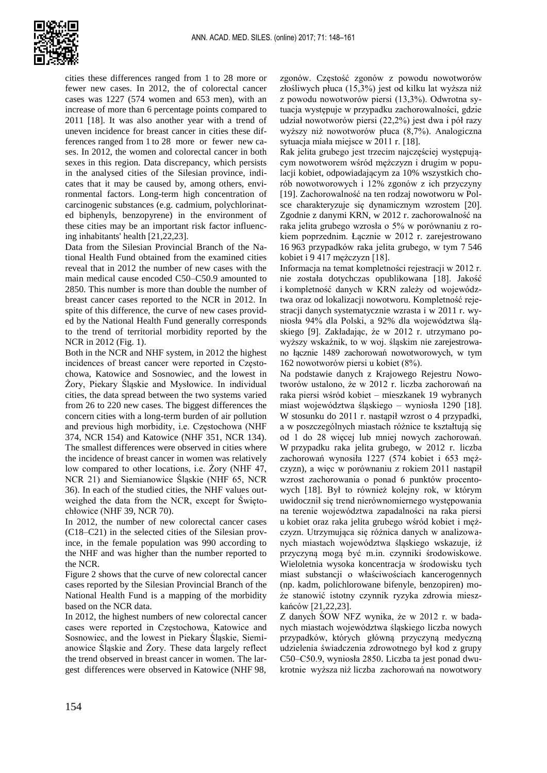

cities these differences ranged from 1 to 28 more or fewer new cases. In 2012, the of colorectal cancer cases was 1227 (574 women and 653 men), with an increase of more than 6 percentage points compared to 2011 [18]. It was also another year with a trend of uneven incidence for breast cancer in cities these differences ranged from 1 to 28 more or fewer new cases. In 2012, the women and colorectal cancer in both sexes in this region. Data discrepancy, which persists in the analysed cities of the Silesian province, indicates that it may be caused by, among others, environmental factors. Long-term high concentration of carcinogenic substances (e.g. cadmium, polychlorinated biphenyls, benzopyrene) in the environment of these cities may be an important risk factor influencing inhabitants' health [21,22,23].

Data from the Silesian Provincial Branch of the National Health Fund obtained from the examined cities reveal that in 2012 the number of new cases with the main medical cause encoded C50–C50.9 amounted to 2850. This number is more than double the number of breast cancer cases reported to the NCR in 2012. In spite of this difference, the curve of new cases provided by the National Health Fund generally corresponds to the trend of territorial morbidity reported by the NCR in 2012 (Fig. 1).

Both in the NCR and NHF system, in 2012 the highest incidences of breast cancer were reported in Częstochowa, Katowice and Sosnowiec, and the lowest in Żory, Piekary Śląskie and Mysłowice. In individual cities, the data spread between the two systems varied from 26 to 220 new cases. The biggest differences the concern cities with a long-term burden of air pollution and previous high morbidity, i.e. Częstochowa (NHF 374, NCR 154) and Katowice (NHF 351, NCR 134). The smallest differences were observed in cities where the incidence of breast cancer in women was relatively low compared to other locations, i.e. Żory (NHF 47, NCR 21) and Siemianowice Śląskie (NHF 65, NCR 36). In each of the studied cities, the NHF values outweighed the data from the NCR, except for Świętochłowice (NHF 39, NCR 70).

In 2012, the number of new colorectal cancer cases (C18–C21) in the selected cities of the Silesian province, in the female population was 990 according to the NHF and was higher than the number reported to the NCR.

Figure 2 shows that the curve of new colorectal cancer cases reported by the Silesian Provincial Branch of the National Health Fund is a mapping of the morbidity based on the NCR data.

In 2012, the highest numbers of new colorectal cancer cases were reported in Częstochowa, Katowice and Sosnowiec, and the lowest in Piekary Śląskie, Siemianowice Śląskie and Żory. These data largely reflect the trend observed in breast cancer in women. The largest differences were observed in Katowice (NHF 98,

zgonów. Częstość zgonów z powodu nowotworów złośliwych płuca (15,3%) jest od kilku lat wyższa niż z powodu nowotworów piersi (13,3%). Odwrotna sytuacja występuje w przypadku zachorowalności, gdzie udział nowotworów piersi (22,2%) jest dwa i pół razy wyższy niż nowotworów płuca (8,7%). Analogiczna sytuacja miała miejsce w 2011 r. [18].

Rak jelita grubego jest trzecim najczęściej występującym nowotworem wśród mężczyzn i drugim w populacji kobiet, odpowiadającym za 10% wszystkich chorób nowotworowych i 12% zgonów z ich przyczyny [19]. Zachorowalność na ten rodzaj nowotworu w Polsce charakteryzuje się dynamicznym wzrostem [20]. Zgodnie z danymi KRN, w 2012 r. zachorowalność na raka jelita grubego wzrosła o 5% w porównaniu z rokiem poprzednim. Łącznie w 2012 r. zarejestrowano 16 963 przypadków raka jelita grubego, w tym 7 546 kobiet i 9 417 mężczyzn [18].

Informacja na temat kompletności rejestracji w 2012 r. nie została dotychczas opublikowana [18]. Jakość i kompletność danych w KRN zależy od województwa oraz od lokalizacji nowotworu. Kompletność rejestracji danych systematycznie wzrasta i w 2011 r. wyniosła 94% dla Polski, a 92% dla województwa śląskiego [9]. Zakładając, że w 2012 r. utrzymano powyższy wskaźnik, to w woj. śląskim nie zarejestrowano łącznie 1489 zachorowań nowotworowych, w tym 162 nowotworów piersi u kobiet (8%).

Na podstawie danych z Krajowego Rejestru Nowotworów ustalono, że w 2012 r. liczba zachorowań na raka piersi wśród kobiet – mieszkanek 19 wybranych miast województwa śląskiego – wyniosła 1290 [18]. W stosunku do 2011 r. nastąpił wzrost o 4 przypadki, a w poszczególnych miastach różnice te kształtują się od 1 do 28 więcej lub mniej nowych zachorowań. W przypadku raka jelita grubego, w 2012 r. liczba zachorowań wynosiła 1227 (574 kobiet i 653 mężczyzn), a więc w porównaniu z rokiem 2011 nastąpił wzrost zachorowania o ponad 6 punktów procentowych [18]. Był to również kolejny rok, w którym uwidocznił się trend nierównomiernego występowania na terenie województwa zapadalności na raka piersi u kobiet oraz raka jelita grubego wśród kobiet i mężczyzn. Utrzymująca się różnica danych w analizowanych miastach województwa śląskiego wskazuje, iż przyczyną mogą być m.in. czynniki środowiskowe. Wieloletnia wysoka koncentracja w środowisku tych miast substancji o właściwościach kancerogennych (np. kadm, polichlorowane bifenyle, benzopiren) może stanowić istotny czynnik ryzyka zdrowia mieszkańców [21,22,23].

Z danych ŚOW NFZ wynika, że w 2012 r. w badanych miastach województwa śląskiego liczba nowych przypadków, których główną przyczyną medyczną udzielenia świadczenia zdrowotnego był kod z grupy C50–C50.9, wyniosła 2850. Liczba ta jest ponad dwukrotnie wyższa niż liczba zachorowań na nowotwory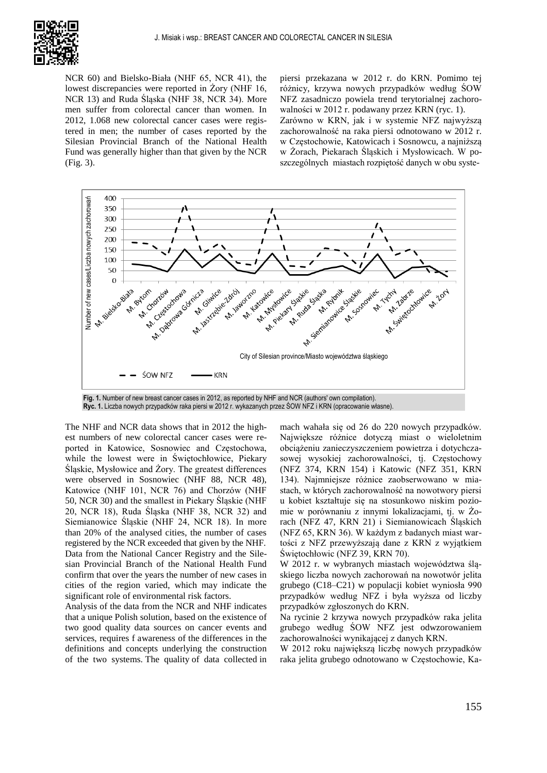

NCR 60) and Bielsko-Biała (NHF 65, NCR 41), the lowest discrepancies were reported in Żory (NHF 16, NCR 13) and Ruda Śląska (NHF 38, NCR 34). More men suffer from colorectal cancer than women. In 2012, 1.068 new colorectal cancer cases were registered in men; the number of cases reported by the Silesian Provincial Branch of the National Health Fund was generally higher than that given by the NCR (Fig. 3).

piersi przekazana w 2012 r. do KRN. Pomimo tej różnicy, krzywa nowych przypadków według ŚOW NFZ zasadniczo powiela trend terytorialnej zachorowalności w 2012 r. podawany przez KRN (ryc. 1). Zarówno w KRN, jak i w systemie NFZ najwyższą zachorowalność na raka piersi odnotowano w 2012 r. w Częstochowie, Katowicach i Sosnowcu, a najniższą w Żorach, Piekarach Śląskich i Mysłowicach. W poszczególnych miastach rozpiętość danych w obu syste-



**Fig. 1.** Number of new breast cancer cases in 2012, as reported by NHF and NCR (authors' own compilation). **Ryc. 1.** Liczba nowych przypadków raka piersi w 2012 r. wykazanych przez ŚOW NFZ i KRN (opracowanie własne).

The NHF and NCR data shows that in 2012 the highest numbers of new colorectal cancer cases were reported in Katowice, Sosnowiec and Częstochowa, while the lowest were in Świętochłowice, Piekary Śląskie, Mysłowice and Żory. The greatest differences were observed in Sosnowiec (NHF 88, NCR 48), Katowice (NHF 101, NCR 76) and Chorzów (NHF 50, NCR 30) and the smallest in Piekary Śląskie (NHF 20, NCR 18), Ruda Śląska (NHF 38, NCR 32) and Siemianowice Śląskie (NHF 24, NCR 18). In more than 20% of the analysed cities, the number of cases registered by the NCR exceeded that given by the NHF. Data from the National Cancer Registry and the Silesian Provincial Branch of the National Health Fund confirm that over the years the number of new cases in cities of the region varied, which may indicate the significant role of environmental risk factors.

Analysis of the data from the NCR and NHF indicates that a unique Polish solution, based on the existence of two good quality data sources on cancer events and services, requires f awareness of the differences in the definitions and concepts underlying the construction of the two systems. The quality of data collected in mach wahała się od 26 do 220 nowych przypadków. Największe różnice dotyczą miast o wieloletnim obciążeniu zanieczyszczeniem powietrza i dotychczasowej wysokiej zachorowalności, tj. Częstochowy (NFZ 374, KRN 154) i Katowic (NFZ 351, KRN 134). Najmniejsze różnice zaobserwowano w miastach, w których zachorowalność na nowotwory piersi u kobiet kształtuje się na stosunkowo niskim poziomie w porównaniu z innymi lokalizacjami, tj. w Żorach (NFZ 47, KRN 21) i Siemianowicach Śląskich (NFZ 65, KRN 36). W każdym z badanych miast wartości z NFZ przewyższają dane z KRN z wyjątkiem Świętochłowic (NFZ 39, KRN 70).

W 2012 r. w wybranych miastach województwa śląskiego liczba nowych zachorowań na nowotwór jelita grubego (C18–C21) w populacji kobiet wyniosła 990 przypadków według NFZ i była wyższa od liczby przypadków zgłoszonych do KRN.

Na rycinie 2 krzywa nowych przypadków raka jelita grubego według ŚOW NFZ jest odwzorowaniem zachorowalności wynikającej z danych KRN.

W 2012 roku największą liczbę nowych przypadków raka jelita grubego odnotowano w Częstochowie, Ka-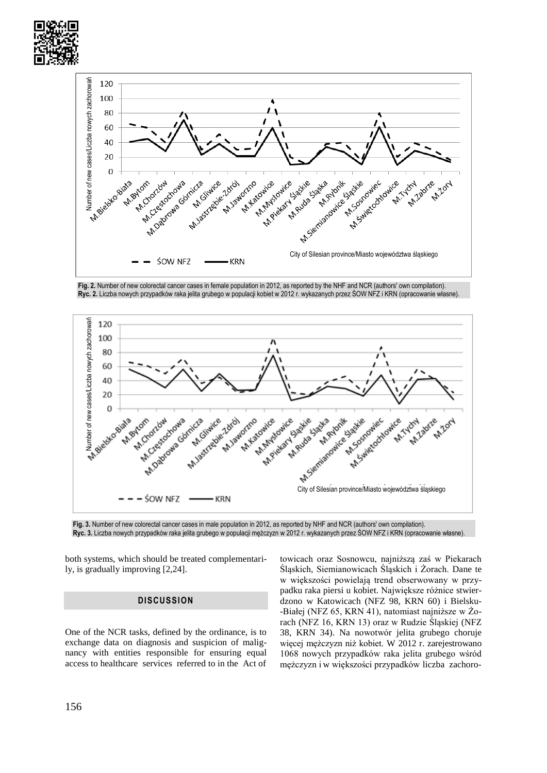



**Fig. 2.** Number of new colorectal cancer cases in female population in 2012, as reported by the NHF and NCR (authors' own compilation). **Ryc. 2.** Liczba nowych przypadków raka jelita grubego w populacji kobiet w 2012 r. wykazanych przez ŚOW NFZ i KRN (opracowanie własne).



**Fig. 3.** Number of new colorectal cancer cases in male population in 2012, as reported by NHF and NCR (authors' own compilation). **Ryc. 3.** Liczba nowych przypadków raka jelita grubego w populacji mężczyzn w 2012 r. wykazanych przez ŚOW NFZ i KRN (opracowanie własne).

both systems, which should be treated complementarily, is gradually improving [2,24].

#### **DISCUSSION**

One of the NCR tasks, defined by the ordinance, is to exchange data on diagnosis and suspicion of malignancy with entities responsible for ensuring equal access to healthcare services referred to in the Act of

towicach oraz Sosnowcu, najniższą zaś w Piekarach Śląskich, Siemianowicach Śląskich i Żorach. Dane te w większości powielają trend obserwowany w przypadku raka piersi u kobiet. Największe różnice stwierdzono w Katowicach (NFZ 98, KRN 60) i Bielsku- -Białej (NFZ 65, KRN 41), natomiast najniższe w Żorach (NFZ 16, KRN 13) oraz w Rudzie Śląskiej (NFZ 38, KRN 34). Na nowotwór jelita grubego choruje więcej mężczyzn niż kobiet. W 2012 r. zarejestrowano 1068 nowych przypadków raka jelita grubego wśród mężczyzn i w większości przypadków liczba zachoro-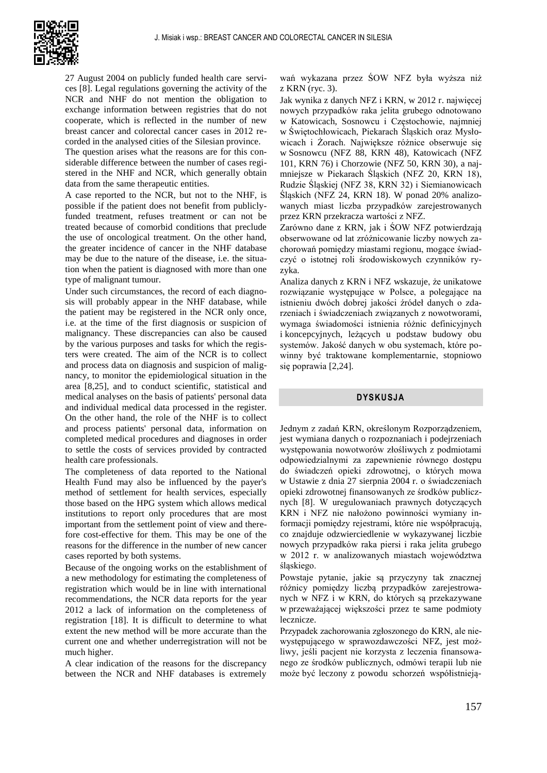

27 August 2004 on publicly funded health care services [8]. Legal regulations governing the activity of the NCR and NHF do not mention the obligation to exchange information between registries that do not cooperate, which is reflected in the number of new breast cancer and colorectal cancer cases in 2012 recorded in the analysed cities of the Silesian province.

The question arises what the reasons are for this considerable difference between the number of cases registered in the NHF and NCR, which generally obtain data from the same therapeutic entities.

A case reported to the NCR, but not to the NHF, is possible if the patient does not benefit from publiclyfunded treatment, refuses treatment or can not be treated because of comorbid conditions that preclude the use of oncological treatment. On the other hand, the greater incidence of cancer in the NHF database may be due to the nature of the disease, i.e. the situation when the patient is diagnosed with more than one type of malignant tumour.

Under such circumstances, the record of each diagnosis will probably appear in the NHF database, while the patient may be registered in the NCR only once, i.e. at the time of the first diagnosis or suspicion of malignancy. These discrepancies can also be caused by the various purposes and tasks for which the registers were created. The aim of the NCR is to collect and process data on diagnosis and suspicion of malignancy, to monitor the epidemiological situation in the area [8,25], and to conduct scientific, statistical and medical analyses on the basis of patients' personal data and individual medical data processed in the register. On the other hand, the role of the NHF is to collect and process patients' personal data, information on completed medical procedures and diagnoses in order to settle the costs of services provided by contracted health care professionals.

The completeness of data reported to the National Health Fund may also be influenced by the payer's method of settlement for health services, especially those based on the HPG system which allows medical institutions to report only procedures that are most important from the settlement point of view and therefore cost-effective for them. This may be one of the reasons for the difference in the number of new cancer cases reported by both systems.

Because of the ongoing works on the establishment of a new methodology for estimating the completeness of registration which would be in line with international recommendations, the NCR data reports for the year 2012 a lack of information on the completeness of registration [18]. It is difficult to determine to what extent the new method will be more accurate than the current one and whether underregistration will not be much higher.

A clear indication of the reasons for the discrepancy between the NCR and NHF databases is extremely wań wykazana przez ŚOW NFZ była wyższa niż z KRN (ryc. 3).

Jak wynika z danych NFZ i KRN, w 2012 r. najwięcej nowych przypadków raka jelita grubego odnotowano w Katowicach, Sosnowcu i Częstochowie, najmniej w Świętochłowicach, Piekarach Śląskich oraz Mysłowicach i Żorach. Największe różnice obserwuje się w Sosnowcu (NFZ 88, KRN 48), Katowicach (NFZ 101, KRN 76) i Chorzowie (NFZ 50, KRN 30), a najmniejsze w Piekarach Śląskich (NFZ 20, KRN 18), Rudzie Śląskiej (NFZ 38, KRN 32) i Siemianowicach Śląskich (NFZ 24, KRN 18). W ponad 20% analizowanych miast liczba przypadków zarejestrowanych przez KRN przekracza wartości z NFZ.

Zarówno dane z KRN, jak i ŚOW NFZ potwierdzają obserwowane od lat zróżnicowanie liczby nowych zachorowań pomiędzy miastami regionu, mogące świadczyć o istotnej roli środowiskowych czynników ryzyka.

Analiza danych z KRN i NFZ wskazuje, że unikatowe rozwiązanie występujące w Polsce, a polegające na istnieniu dwóch dobrej jakości źródeł danych o zdarzeniach i świadczeniach związanych z nowotworami, wymaga świadomości istnienia różnic definicyjnych i koncepcyjnych, leżących u podstaw budowy obu systemów. Jakość danych w obu systemach, które powinny być traktowane komplementarnie, stopniowo się poprawia [2,24].

## **DYSKUSJA**

Jednym z zadań KRN, określonym Rozporządzeniem, jest wymiana danych o rozpoznaniach i podejrzeniach występowania nowotworów złośliwych z podmiotami odpowiedzialnymi za zapewnienie równego dostępu do świadczeń opieki zdrowotnej, o których mowa w Ustawie z dnia 27 sierpnia 2004 r. o świadczeniach opieki zdrowotnej finansowanych ze środków publicznych [8]. W uregulowaniach prawnych dotyczących KRN i NFZ nie nałożono powinności wymiany informacji pomiędzy rejestrami, które nie współpracują, co znajduje odzwierciedlenie w wykazywanej liczbie nowych przypadków raka piersi i raka jelita grubego w 2012 r. w analizowanych miastach województwa śląskiego.

Powstaje pytanie, jakie są przyczyny tak znacznej różnicy pomiędzy liczbą przypadków zarejestrowanych w NFZ i w KRN, do których są przekazywane w przeważającej większości przez te same podmioty lecznicze.

Przypadek zachorowania zgłoszonego do KRN, ale niewystępującego w sprawozdawczości NFZ, jest możliwy, jeśli pacjent nie korzysta z leczenia finansowanego ze środków publicznych, odmówi terapii lub nie może być leczony z powodu schorzeń współistnieją-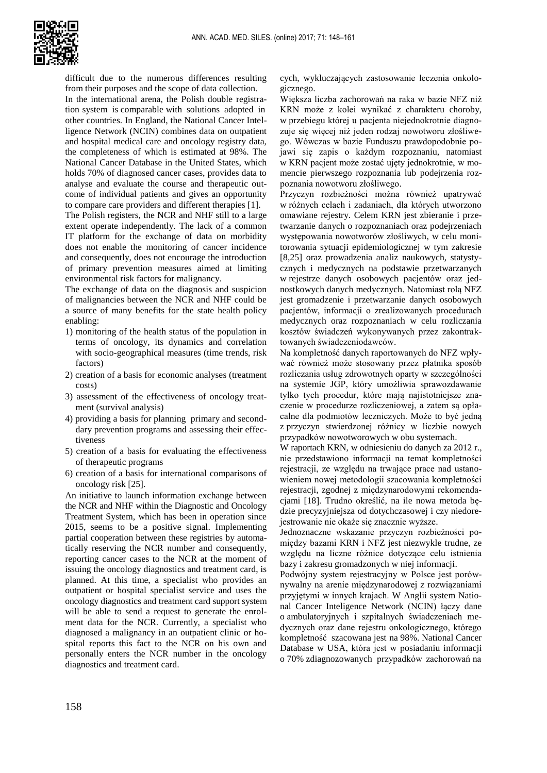

difficult due to the numerous differences resulting from their purposes and the scope of data collection.

In the international arena, the Polish double registration system is comparable with solutions adopted in other countries. In England, the National Cancer Intelligence Network (NCIN) combines data on outpatient and hospital medical care and oncology registry data, the completeness of which is estimated at 98%. The National Cancer Database in the United States, which holds 70% of diagnosed cancer cases, provides data to analyse and evaluate the course and therapeutic outcome of individual patients and gives an opportunity to compare care providers and different therapies [1].

The Polish registers, the NCR and NHF still to a large extent operate independently. The lack of a common IT platform for the exchange of data on morbidity does not enable the monitoring of cancer incidence and consequently, does not encourage the introduction of primary prevention measures aimed at limiting environmental risk factors for malignancy.

The exchange of data on the diagnosis and suspicion of malignancies between the NCR and NHF could be a source of many benefits for the state health policy enabling:

- 1) monitoring of the health status of the population in terms of oncology, its dynamics and correlation with socio-geographical measures (time trends, risk factors)
- 2) creation of a basis for economic analyses (treatment costs)
- 3) assessment of the effectiveness of oncology treatment (survival analysis)
- 4) providing a basis for planning primary and seconddary prevention programs and assessing their effectiveness
- 5) creation of a basis for evaluating the effectiveness of therapeutic programs
- 6) creation of a basis for international comparisons of oncology risk [25].

An initiative to launch information exchange between the NCR and NHF within the Diagnostic and Oncology Treatment System, which has been in operation since 2015, seems to be a positive signal. Implementing partial cooperation between these registries by automatically reserving the NCR number and consequently, reporting cancer cases to the NCR at the moment of issuing the oncology diagnostics and treatment card, is planned. At this time, a specialist who provides an outpatient or hospital specialist service and uses the oncology diagnostics and treatment card support system will be able to send a request to generate the enrolment data for the NCR. Currently, a specialist who diagnosed a malignancy in an outpatient clinic or hospital reports this fact to the NCR on his own and personally enters the NCR number in the oncology diagnostics and treatment card.

cych, wykluczających zastosowanie leczenia onkologicznego.

Większa liczba zachorowań na raka w bazie NFZ niż KRN może z kolei wynikać z charakteru choroby, w przebiegu której u pacjenta niejednokrotnie diagnozuje się więcej niż jeden rodzaj nowotworu złośliwego. Wówczas w bazie Funduszu prawdopodobnie pojawi się zapis o każdym rozpoznaniu, natomiast w KRN pacjent może zostać ujęty jednokrotnie, w momencie pierwszego rozpoznania lub podejrzenia rozpoznania nowotworu złośliwego.

Przyczyn rozbieżności można również upatrywać w różnych celach i zadaniach, dla których utworzono omawiane rejestry. Celem KRN jest zbieranie i przetwarzanie danych o rozpoznaniach oraz podejrzeniach występowania nowotworów złośliwych, w celu monitorowania sytuacji epidemiologicznej w tym zakresie [8,25] oraz prowadzenia analiz naukowych, statystycznych i medycznych na podstawie przetwarzanych w rejestrze danych osobowych pacjentów oraz jednostkowych danych medycznych. Natomiast rolą NFZ jest gromadzenie i przetwarzanie danych osobowych pacjentów, informacji o zrealizowanych procedurach medycznych oraz rozpoznaniach w celu rozliczania kosztów świadczeń wykonywanych przez zakontraktowanych świadczeniodawców.

Na kompletność danych raportowanych do NFZ wpływać również może stosowany przez płatnika sposób rozliczania usług zdrowotnych oparty w szczególności na systemie JGP, który umożliwia sprawozdawanie tylko tych procedur, które mają najistotniejsze znaczenie w procedurze rozliczeniowej, a zatem są opłacalne dla podmiotów leczniczych. Może to być jedną z przyczyn stwierdzonej różnicy w liczbie nowych przypadków nowotworowych w obu systemach.

W raportach KRN, w odniesieniu do danych za 2012 r., nie przedstawiono informacji na temat kompletności rejestracji, ze względu na trwające prace nad ustanowieniem nowej metodologii szacowania kompletności rejestracji, zgodnej z międzynarodowymi rekomendacjami [18]. Trudno określić, na ile nowa metoda będzie precyzyjniejsza od dotychczasowej i czy niedorejestrowanie nie okaże się znacznie wyższe.

Jednoznaczne wskazanie przyczyn rozbieżności pomiędzy bazami KRN i NFZ jest niezwykle trudne, ze względu na liczne różnice dotyczące celu istnienia bazy i zakresu gromadzonych w niej informacji.

Podwójny system rejestracyjny w Polsce jest porównywalny na arenie międzynarodowej z rozwiązaniami przyjętymi w innych krajach. W Anglii system National Cancer Inteligence Network (NCIN) łączy dane o ambulatoryjnych i szpitalnych świadczeniach medycznych oraz dane rejestru onkologicznego, którego kompletność szacowana jest na 98%. National Cancer Database w USA, która jest w posiadaniu informacji o 70% zdiagnozowanych przypadków zachorowań na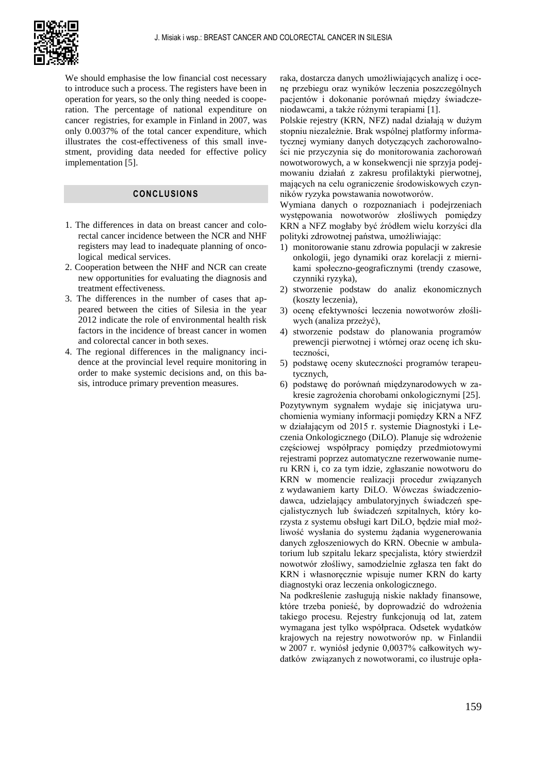

We should emphasise the low financial cost necessary to introduce such a process. The registers have been in operation for years, so the only thing needed is cooperation. The percentage of national expenditure on cancer registries, for example in Finland in 2007, was only 0.0037% of the total cancer expenditure, which illustrates the cost-effectiveness of this small investment, providing data needed for effective policy implementation [5].

## **CONCLUSIONS**

- 1. The differences in data on breast cancer and colorectal cancer incidence between the NCR and NHF registers may lead to inadequate planning of oncological medical services.
- 2. Cooperation between the NHF and NCR can create new opportunities for evaluating the diagnosis and treatment effectiveness.
- 3. The differences in the number of cases that appeared between the cities of Silesia in the year 2012 indicate the role of environmental health risk factors in the incidence of breast cancer in women and colorectal cancer in both sexes.
- 4. The regional differences in the malignancy incidence at the provincial level require monitoring in order to make systemic decisions and, on this basis, introduce primary prevention measures.

raka, dostarcza danych umożliwiających analizę i ocenę przebiegu oraz wyników leczenia poszczególnych pacjentów i dokonanie porównań między świadczeniodawcami, a także różnymi terapiami [1].

Polskie rejestry (KRN, NFZ) nadal działają w dużym stopniu niezależnie. Brak wspólnej platformy informatycznej wymiany danych dotyczących zachorowalności nie przyczynia się do monitorowania zachorowań nowotworowych, a w konsekwencji nie sprzyja podejmowaniu działań z zakresu profilaktyki pierwotnej, mających na celu ograniczenie środowiskowych czynników ryzyka powstawania nowotworów.

Wymiana danych o rozpoznaniach i podejrzeniach występowania nowotworów złośliwych pomiędzy KRN a NFZ mogłaby być źródłem wielu korzyści dla polityki zdrowotnej państwa, umożliwiając:

- 1) monitorowanie stanu zdrowia populacji w zakresie onkologii, jego dynamiki oraz korelacji z miernikami społeczno-geograficznymi (trendy czasowe, czynniki ryzyka),
- 2) stworzenie podstaw do analiz ekonomicznych (koszty leczenia),
- 3) ocenę efektywności leczenia nowotworów złośliwych (analiza przeżyć),
- 4) stworzenie podstaw do planowania programów prewencji pierwotnej i wtórnej oraz ocenę ich skuteczności,
- 5) podstawę oceny skuteczności programów terapeutycznych,
- 6) podstawę do porównań międzynarodowych w za-

kresie zagrożenia chorobami onkologicznymi [25]. Pozytywnym sygnałem wydaje się inicjatywa uruchomienia wymiany informacji pomiędzy KRN a NFZ w działającym od 2015 r. systemie Diagnostyki i Leczenia Onkologicznego (DiLO). Planuje się wdrożenie częściowej współpracy pomiędzy przedmiotowymi rejestrami poprzez automatyczne rezerwowanie numeru KRN i, co za tym idzie, zgłaszanie nowotworu do KRN w momencie realizacji procedur związanych z wydawaniem karty DiLO. Wówczas świadczeniodawca, udzielający ambulatoryjnych świadczeń specjalistycznych lub świadczeń szpitalnych, który korzysta z systemu obsługi kart DiLO, będzie miał możliwość wysłania do systemu żądania wygenerowania danych zgłoszeniowych do KRN. Obecnie w ambulatorium lub szpitalu lekarz specjalista, który stwierdził nowotwór złośliwy, samodzielnie zgłasza ten fakt do KRN i własnoręcznie wpisuje numer KRN do karty diagnostyki oraz leczenia onkologicznego.

Na podkreślenie zasługują niskie nakłady finansowe, które trzeba ponieść, by doprowadzić do wdrożenia takiego procesu. Rejestry funkcjonują od lat, zatem wymagana jest tylko współpraca. Odsetek wydatków krajowych na rejestry nowotworów np. w Finlandii w 2007 r. wyniósł jedynie 0,0037% całkowitych wydatków związanych z nowotworami, co ilustruje opła-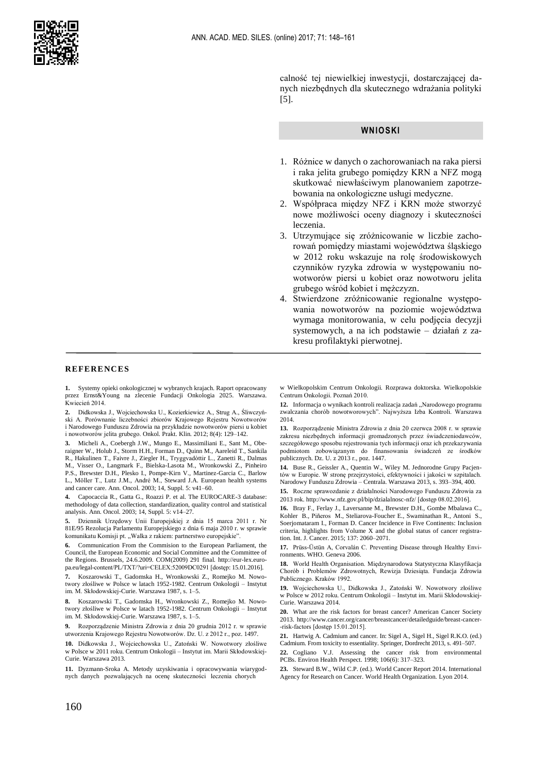

calność tej niewielkiej inwestycji, dostarczającej danych niezbędnych dla skutecznego wdrażania polityki [5].

#### **WNIOSKI**

- 1. Różnice w danych o zachorowaniach na raka piersi i raka jelita grubego pomiędzy KRN a NFZ mogą skutkować niewłaściwym planowaniem zapotrzebowania na onkologiczne usługi medyczne.
- 2. Współpraca między NFZ i KRN może stworzyć nowe możliwości oceny diagnozy i skuteczności leczenia.
- 3. Utrzymujące się zróżnicowanie w liczbie zachorowań pomiędzy miastami województwa śląskiego w 2012 roku wskazuje na rolę środowiskowych czynników ryzyka zdrowia w występowaniu nowotworów piersi u kobiet oraz nowotworu jelita grubego wśród kobiet i mężczyzn.
- 4. Stwierdzone zróżnicowanie regionalne występowania nowotworów na poziomie województwa wymaga monitorowania, w celu podjęcia decyzji systemowych, a na ich podstawie – działań z zakresu profilaktyki pierwotnej.

#### **REFERENCES**

**1.** Systemy opieki onkologicznej w wybranych krajach. Raport opracowany przez Ernst&Young na zlecenie Fundacji Onkologia 2025. Warszawa. Kwiecień 2014.

**2.** Didkowska J., Wojciechowska U., Kozierkiewicz A., Strug A., Śliwczyński A. Porównanie liczebności zbiorów Krajowego Rejestru Nowotworów i Narodowego Funduszu Zdrowia na przykładzie nowotworów piersi u kobiet i nowotworów jelita grubego. Onkol. Prakt. Klin. 2012; 8(4): 129–142.

**3.** Micheli A., Coebergh J.W., Mungo E., Massimiliani E., Sant M., Oberaigner W., Holub J., Storm H.H., Forman D., Quinn M., Aareleid T., Sankila R., Hakulinen T., Faivre J., Ziegler H., Tryggvadòttir L., Zanetti R., Dalmas M., Visser O., Langmark F., Bielska-Lasota M., Wronkowski Z., Pinheiro P.S., Brewster D.H., Plesko I., Pompe-Kirn V., Martinez-Garcia C., Barlow L., Möller T., Lutz J.M., André M., Steward J.A. European health systems and cancer care. Ann. Oncol. 2003; 14, Suppl. 5: v41–60.

**4.** Capocaccia R., Gatta G., Roazzi P. et al. The EUROCARE-3 database: methodology of data collection, standardization, quality control and statistical analysis. Ann. Oncol. 2003; 14, Suppl. 5: v14–27.

**5.** Dziennik Urzędowy Unii Europejskiej z dnia 15 marca 2011 r. Nr 81E/95 Rezolucja Parlamentu Europejskiego z dnia 6 maja 2010 r. w sprawie komunikatu Komisji pt. "Walka z rakiem: partnerstwo europejskie"

**6.** Communication From the Commision to the European Parliament, the Council, the European Economic and Social Committee and the Committee of the Regions. Brussels, 24.6.2009. COM(2009) 291 final. http://eur-lex.europa.eu/legal-content/PL/TXT/?uri=CELEX:52009DC0291 [dostęp: 15.01.2016].

**7.** Koszarowski T., Gadomska H., Wronkowski Z., Romejko M. Nowotwory złośliwe w Polsce w latach 1952-1982. Centrum Onkologii – Instytut im. M. Skłodowskiej-Curie. Warszawa 1987, s. 1–5.

**8.** Koszarowski T., Gadomska H., Wronkowski Z., Romejko M. Nowotwory złośliwe w Polsce w latach 1952-1982. Centrum Onkologii – Instytut im. M. Skłodowskiej-Curie. Warszawa 1987, s. 1–5.

**9.** Rozporządzenie Ministra Zdrowia z dnia 20 grudnia 2012 r. w sprawie utworzenia Krajowego Rejestru Nowotworów. Dz. U. z 2012 r., poz. 1497.

**10.** Didkowska J., Wojciechowska U., Zatoński W. Nowotwory złośliwe w Polsce w 2011 roku. Centrum Onkologii – Instytut im. Marii Skłodowskiej-Curie. Warszawa 2013.

**11.** Dyzmann-Sroka A. Metody uzyskiwania i opracowywania wiarygodnych danych pozwalających na ocenę skuteczności leczenia chorych

w Wielkopolskim Centrum Onkologii. Rozprawa doktorska. Wielkopolskie Centrum Onkologii. Poznań 2010.

12. Informacja o wynikach kontroli realizacja zadań "Narodowego programu zwalczania chorób nowotworowych". Najwyższa Izba Kontroli. Warszawa 2014.

**13.** Rozporządzenie Ministra Zdrowia z dnia 20 czerwca 2008 r. w sprawie zakresu niezbędnych informacji gromadzonych przez świadczeniodawców, szczegółowego sposobu rejestrowania tych informacji oraz ich przekazywania podmiotom zobowiązanym do finansowania świadczeń ze środków publicznych. Dz. U. z 2013 r., poz. 1447.

**14.** Buse R., Geissler A., Quentin W., Wiley M. Jednorodne Grupy Pacjentów w Europie. W stronę przejrzystości, efektywności i jakości w szpitalach. Narodowy Funduszu Zdrowia – Centrala. Warszawa 2013, s. 393–394, 400.

**15.** Roczne sprawozdanie z działalności Narodowego Funduszu Zdrowia za 2013 rok. http://www.nfz.gov.pl/bip/dzialalnosc-nfz/ [dostęp 08.02.2016].

**16.** Bray F., Ferlay J., Laversanne M., Brewster D.H., Gombe Mbalawa C., Kohler B., Piñeros M., Steliarova-Foucher E., Swaminathan R., Antoni S., Soerjomataram I., Forman D. Cancer Incidence in Five Continents: Inclusion criteria, highlights from Volume X and the global status of cancer registration[. Int. J. Cancer](http://www.ncbi.nlm.nih.gov/pubmed/?term=Cancer+Incidence+in+Five+Continents%3A+Inclusion+criteria%2C+highlights+from+Volume+X+and+the+global+status+of+cancer+registration). 2015; 137: 2060–2071.

**17.** Prüss-Üstün A, Corvalán C. Preventing Disease through Healthy Environments. WHO. Geneva 2006.

**18.** World Health Organisation. Międzynarodowa Statystyczna Klasyfikacja Chorób i Problemów Zdrowotnych, Rewizja Dziesiąta. Fundacja Zdrowia Publicznego. Kraków 1992.

**19.** Wojciechowska U., Didkowska J., Zatoński W. Nowotwory złośliwe w Polsce w 2012 roku. Centrum Onkologii – Instytut im. Marii Skłodowskiej-Curie. Warszawa 2014.

**20.** What are the risk factors for breast cancer? American Cancer Society 2013. http://www.cancer.org/cancer/breastcancer/detailedguide/breast-cancer- -risk-factors [dostęp 15.01.2015].

**21.** Hartwig A. Cadmium and cancer. In: Sigel A., Sigel H., Sigel R.K.O. (ed.) Cadmium. From toxicity to essentiality. Springer, Dordrecht 2013, s. 491–507.

**22.** Cogliano V.J. Assessing the cancer risk from environmental PCBs. Environ Health Perspect. 1998; 106(6): 317–323.

**23.** Steward B.W., Wild C.P. (ed.). World Cancer Report 2014. International Agency for Research on Cancer. World Health Organization. Lyon 2014.